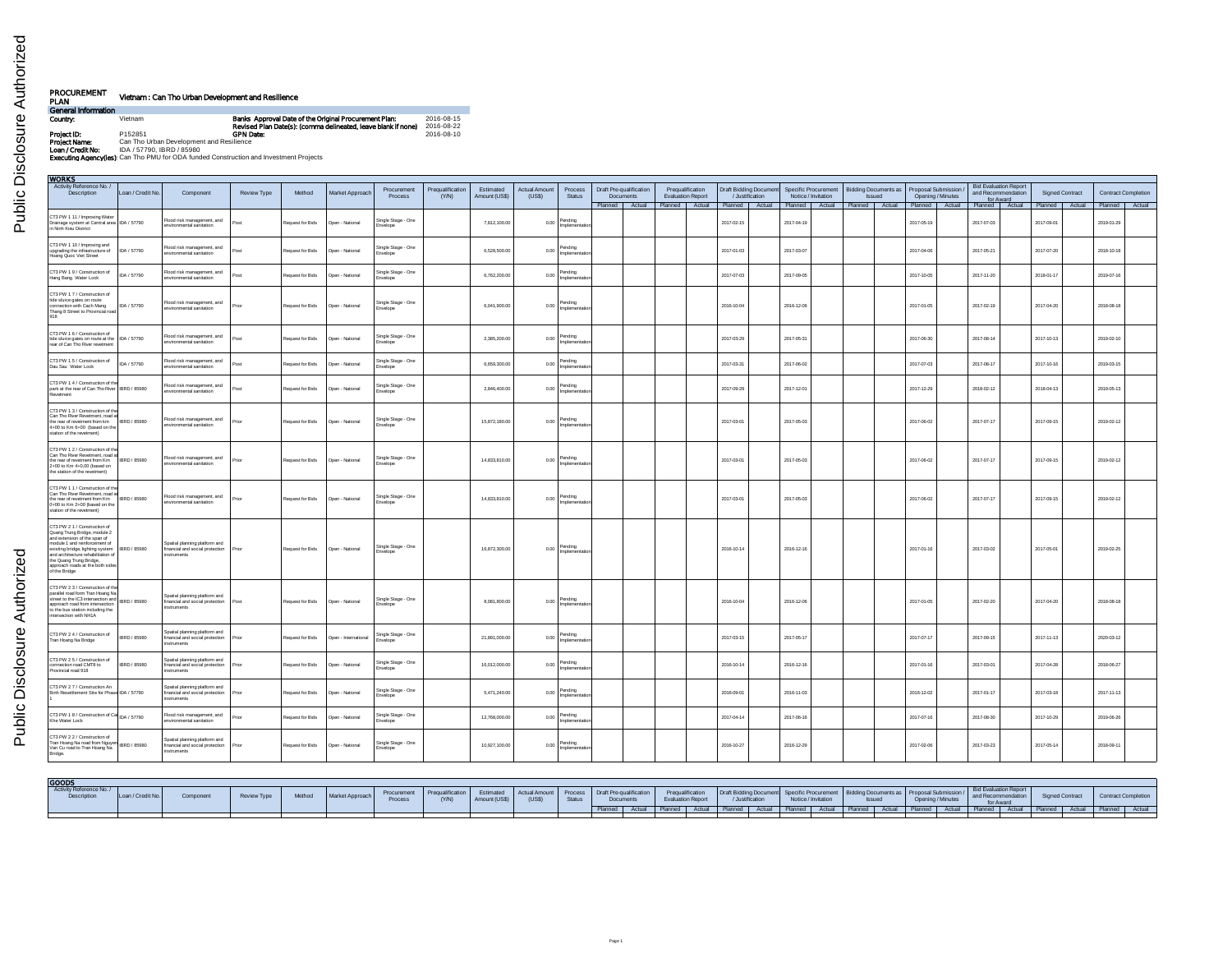| PROCUREMENT<br>PLAN | Vietnam : Can Tho Urban Development and Resilience                                             |                                                                                                                        |                          |
|---------------------|------------------------------------------------------------------------------------------------|------------------------------------------------------------------------------------------------------------------------|--------------------------|
| General Information |                                                                                                |                                                                                                                        |                          |
| Country:            | Vietnam                                                                                        | Banks Approval Date of the Original Procurement Plan:<br>Revised Plan Date(s): (comma delineated, leave blank if none) | 2016-08-15<br>2016-08-22 |
| Project ID:         | P152851                                                                                        | <b>GPN Date:</b>                                                                                                       | 2016-08-10               |
| Project Name:       | Can Tho Urban Development and Resilience                                                       |                                                                                                                        |                          |
| Loan / Credit No:   | IDA / 57790, IBRD / 85980                                                                      |                                                                                                                        |                          |
|                     | <b>Executing Agency (les):</b> Can Tho PMU for ODA funded Construction and Investment Projects |                                                                                                                        |                          |

Public Disclosure Authorized Public Disclosure Authorized

| <b>WORKS</b><br>Activity Reference No.<br><b>Bid Evaluation Report</b><br>Draft Pre-qualification<br><b>Draft Bidding Document</b><br>Specific Procurement<br>Bidding Documents as   Proposal Submission /<br>Prequalification<br>Estimated<br><b>Actual Amount</b><br>Process<br>Prequalification<br>Procurement<br>and Recommendation<br><b>Signed Contract</b><br><b>Contract Completion</b> |                     |                                                                                        |                    |                  |                      |                                |       |               |       |                               |                                     |  |  |                          |                  |                     |               |                                                        |            |                               |            |            |                |
|-------------------------------------------------------------------------------------------------------------------------------------------------------------------------------------------------------------------------------------------------------------------------------------------------------------------------------------------------------------------------------------------------|---------------------|----------------------------------------------------------------------------------------|--------------------|------------------|----------------------|--------------------------------|-------|---------------|-------|-------------------------------|-------------------------------------|--|--|--------------------------|------------------|---------------------|---------------|--------------------------------------------------------|------------|-------------------------------|------------|------------|----------------|
|                                                                                                                                                                                                                                                                                                                                                                                                 |                     |                                                                                        |                    |                  |                      |                                |       |               |       |                               |                                     |  |  |                          |                  |                     |               |                                                        |            |                               |            |            |                |
| Description                                                                                                                                                                                                                                                                                                                                                                                     | Loan / Credit No.   | Component                                                                              | <b>Review Type</b> | Method           | Market Approach      | <b>Process</b>                 | (Y/N) | Amount (US\$) | (USS) | <b>Status</b>                 | <b>Documents</b>                    |  |  | <b>Evaluation Report</b> | /.lustification  | Notice / Invitation | <b>Issued</b> | Opening / Minutes                                      | for Award  |                               |            |            |                |
|                                                                                                                                                                                                                                                                                                                                                                                                 |                     |                                                                                        |                    |                  |                      |                                |       |               |       |                               | Planned   Actual   Planned   Actual |  |  |                          | Planned   Actual |                     |               | Planned   Actual   Planned   Actual   Planned   Actual |            | Planned Actual Planned Actual |            |            | Planned Actual |
| CT3 PW 1 11 / Improving Water<br>Drainage system at Central area   IDA / 57790<br>in Ninh Kieu District                                                                                                                                                                                                                                                                                         |                     | Flood risk management, and<br>environmental sanitation                                 | ost                | Request for Bids | Open - National      | Single Stage - One<br>Envelope |       | 7,812,100.00  | 0.00  | Pending<br>mplement           |                                     |  |  |                          | 2017-02-15       | 2017-04-19          |               | 2017-05-19                                             | 2017-07-03 |                               | 2017-09-01 | 2019-01-29 |                |
| CT3 PW 1 10 / Improving and<br>upgrading the infrastructure of<br>Hoang Quoc Viet Street                                                                                                                                                                                                                                                                                                        | IDA / 57790         | Flood risk management, and<br>environmental sanitation                                 | Post               | Request for Bids | Open - National      | Single Stage - One<br>Invelope |       | 6,528,500.00  | 0.00  | Pending<br>nnlement           |                                     |  |  |                          | 2017-01-03       | 2017-03-07          |               | 2017-04-06                                             | 2017-05-21 |                               | 2017-07-20 | 2018-10-18 |                |
| CT3 PW 1 9 / Construction of<br>Hang Bang Water Lock                                                                                                                                                                                                                                                                                                                                            | IDA / 57790         | lood risk management, and<br>nvironmental sanitation                                   | Post               | tequest for Bids | Doen - National      | Single Stage - One<br>Invelope |       | 6.762.200.00  | 0.00  | Pendina<br>mplementa          |                                     |  |  |                          | 2017-07-03       | 2017-09-05          |               | 2017-10-05                                             | 2017-11-20 |                               | 2018-01-1  | 2019-07-16 |                |
| CT3 PW 1 7 / Construction of<br>tide sluice gates on route<br>connection with Cach Mang<br>Thang 8 Street to Provincial road                                                                                                                                                                                                                                                                    | IDA / 57790         | Flood risk management, and<br>environmental sanitation                                 | rior               | Request for Bids | Open - National      | Single Stage - One<br>Envelope |       | 6,041,900.00  | 0.00  | Pending<br>Implementat        |                                     |  |  |                          | 2016-10-04       | 2016-12-06          |               | 2017-01-05                                             | 2017-02-19 |                               | 2017-04-20 | 2018-08-18 |                |
| CT3 PW 1 6 / Construction of<br>tide sluice gates on route at the   IDA / 57790<br>rear of Can Tho River revetment                                                                                                                                                                                                                                                                              |                     | lood risk management, and<br>nvironmental sanitation                                   | Post               | Request for Bids | Open - National      | Single Stage - One<br>Invelope |       | 2,385,200.00  | 0.00  | Pending<br>Implementa         |                                     |  |  |                          | 2017-03-29       | 2017-05-31          |               | 2017-06-30                                             | 2017-08-14 |                               | 2017-10-13 | 2019-02-10 |                |
| CT3 PW 1 6 / Construction of<br>Dau Sau Water Lock                                                                                                                                                                                                                                                                                                                                              | IDA / 57790         | Flood risk management, and<br>wironmental sanitation                                   | Post               | Request for Bids | Onen - National      | Single Stage - One<br>nvelope  |       | 6.659.300.00  | 0.00  | Pending<br>nolemer            |                                     |  |  |                          | 2017-03-31       | 2017-06-02          |               | 2017-07-03                                             | 2017-08-17 |                               | 2017-10-16 | 2019-03-15 |                |
| CT3 PW 1 4 / Construction of the<br>park at the rear of Can Tho River BRD / 85980<br>Revetment                                                                                                                                                                                                                                                                                                  |                     | Flood risk management, and<br>nvironmental sanitation                                  | Post               | Request for Bids | Open - National      | Single Stage - One<br>Envelope |       | 2,846,400.00  | 0.00  | Pending<br>mplements          |                                     |  |  |                          | 2017-09-29       | 2017-12-01          |               | 2017-12-29                                             | 2018-02-12 |                               | 2018-04-13 | 2019-06-13 |                |
| CT3 PW 1 3 / Construction of the<br>Can Tho River Revetment, road at<br>the rear of revetment from km<br>4+00 to Km 6+00 (based on the<br>station of the revetment)                                                                                                                                                                                                                             | IBRD / 85980        | lood risk management, and<br>nvironmental sanitation                                   | rinn               | Request for Bids | Open - National      | Single Stage - One<br>Invelope |       | 15,872,180.00 | 0.00  | Pending<br>mplementat         |                                     |  |  |                          | 2017-03-01       | 2017-05-03          |               | 2017-06-02                                             | 2017-07-17 |                               | 2017-09-15 | 2019-02-12 |                |
| CT3 PW 1 2 / Construction of th<br>Can Tho River Revetment, road a<br>the rear of revetment from Km<br>2+00 to Km 4+0,00 (based on<br>the station of the revetment)                                                                                                                                                                                                                             | <b>IBRD / 85980</b> | Flood risk management, and<br>nvironmental sanitation                                  | rior               | Request for Bids | Open - National      | Single Stage - One<br>Envelope |       | 14,833,810.00 | 0.00  | Pending<br>molements          |                                     |  |  |                          | 2017-03-01       | 2017-05-03          |               | 2017-06-02                                             | 2017-07-17 |                               | 2017-09-15 | 2019-02-12 |                |
| CT3 PW 1 1 / Construction of the<br>Can Tho River Revetment, road at<br>the rear of revetment from Km<br>0+00 to Km 2+00 (based on the<br>station of the revetment)                                                                                                                                                                                                                             | IBRD / 85980        | Flood risk management, and<br>environmental sanitation                                 | Prior              | Request for Bids | Open - National      | Single Stage - One<br>Envelope |       | 14,833,810.00 | 0.00  | Pending<br>mplementat         |                                     |  |  |                          | 2017-03-01       | 2017-05-03          |               | 2017-06-02                                             | 2017-07-17 |                               | 2017-09-15 | 2019-02-12 |                |
| CT3 PW 2 1 / Construction of<br>Quang Trung Bridge, module 2<br>and extension of the span of<br>module 1 and reinforcement of<br>existing bridge, lighting system<br>and architecture rehabilitation of<br>the Quang Trung Bridge,<br>approach roads at the both sides<br>of the Bridge                                                                                                         | IBRD / 85980        | Spatial planning platform and<br>linancial and social protection<br>instruments        |                    | Request for Bids | Open - National      | Single Stage - One<br>mvelope  |       | 16,872,300.00 | 0.00  | Pending<br>Implementati       |                                     |  |  |                          | 2016-10-14       | 2016-12-16          |               | 2017-01-16                                             | 2017-03-02 |                               | 2017-05-01 | 2019-02-25 |                |
| CT3 PW 2 3 / Construction of the<br>parallel road form Tran Hoang Na<br>street to the IC3 intersection and<br>approach road from intersection<br>to the bus station including the<br>intersection with NH1A                                                                                                                                                                                     | <b>IRRD / 85980</b> | Spatial planning platform and<br>financial and social protection<br><i>instruments</i> | ten <sup>c</sup>   | Request for Bids | Open - National      | Single Stage - One<br>Envelope |       | 8.081.800.00  | 0.00  | Pending<br>mplementa          |                                     |  |  |                          | 2016-10-04       | 2016-12-08          |               | 2017-01-05                                             | 2017-02-20 |                               | 2017-04-20 | 2018-08-18 |                |
| CT3 PW 2 4 / Construction of<br>Tran Hoang Na Bridge                                                                                                                                                                                                                                                                                                                                            | IBRD / 85980        | Spatial planning platform and<br>inancial and social protection<br>nstruments          |                    | Request for Bids | Open - International | Single Stage - One<br>Invelope |       | 21,891,000.00 | 0.00  | Pending<br>mplementa          |                                     |  |  |                          | 2017-03-15       | 2017-05-17          |               | 2017-07-17                                             | 2017-09-15 |                               | 2017-11-13 | 2020-03-12 |                |
| CT3 PW 2 5 / Construction of<br>connection road CMT8 to<br>Provincial road 918                                                                                                                                                                                                                                                                                                                  | IBRD / 85980        | Spatial planning platform and<br>linancial and social protection<br>instruments        | Print              | Request for Bids | Open - National      | Single Stage - One<br>Envelope |       | 16.012.000.00 | 0.00  | Pending<br>mplementa          |                                     |  |  |                          | 2016-10-14       | 2016-12-16          |               | 2017-01-16                                             | 2017-03-01 |                               | 2017-04-28 | 2018-06-27 |                |
| CT3 PW 2 7 / Construction An<br>Binh Resettlement Site for Phase IDA / 57790                                                                                                                                                                                                                                                                                                                    |                     | Spatial planning platform and<br>linancial and social protection<br>struments          |                    | Request for Bids | Open - Nationa       | Single Stage - One<br>rvelope  |       | 5.471.240.00  | 0.00  | Pendina                       |                                     |  |  |                          | 2016-09-01       | 2016-11-03          |               | 2016-12-02                                             | 2017-01-17 |                               | 2017-03-18 | 2017-11-13 |                |
| CT3 PW 1 8 / Construction of Cal IDA / 57790<br>Khe Water Lock                                                                                                                                                                                                                                                                                                                                  |                     | Flood risk management, and<br>nvironmental sanitation                                  |                    | tequest for Bids | Open - National      | Single Stage - One<br>mvelope  |       | 12,768,000.00 | 0.00  | Pending<br>nnlement           |                                     |  |  |                          | 2017-04-14       | 2017-06-16          |               | 2017-07-16                                             | 2017-08-30 |                               | 2017-10-29 | 2019-06-26 |                |
| CT3 PW 2 2 / Construction of<br>Tran Hoang Na road from Nguyen<br>IBRD / 85980<br>Van Cu road to Tran Hoang Na<br>Bridge.                                                                                                                                                                                                                                                                       |                     | Spatial planning platform and<br>financial and social protection<br>struments          | Print              | Request for Bids | Open - National      | Single Stage - One<br>Envelope |       | 10,927,100.00 |       | $0.00$ Pending<br>Implementat |                                     |  |  |                          | 2016-10-27       | 2016-12-29          |               | 2017-02-06                                             | 2017-03-23 |                               | 2017-05-14 | 2018-09-11 |                |

| GOODS                                  |                   |          |             |        |                 |  |  |  |                                                                                                                                                                                                                                |  |  |                                                                                |  |  |  |                                                                |  |  |  |                     |  |
|----------------------------------------|-------------------|----------|-------------|--------|-----------------|--|--|--|--------------------------------------------------------------------------------------------------------------------------------------------------------------------------------------------------------------------------------|--|--|--------------------------------------------------------------------------------|--|--|--|----------------------------------------------------------------|--|--|--|---------------------|--|
| Activity Reference No./<br>Description | Loan / Credit No. | Componen | Review Type | Method | Market Approach |  |  |  | on Antenna (Procurement Prequalification Estimated Actual Annunt Process Draft Pequalification Prequalification Draft Bidding Document Bidding Documents as Proposal Submission (Supposal Submission Supposal Submission Suppo |  |  |                                                                                |  |  |  |                                                                |  |  |  | Contract Completion |  |
|                                        |                   |          |             |        |                 |  |  |  |                                                                                                                                                                                                                                |  |  | Actual Planned   Actual Planned   Actual   Planned   Actual   Planned   Actual |  |  |  | al Planned Actual Planned Actual Planned Actual Planned Actual |  |  |  |                     |  |
|                                        |                   |          |             |        |                 |  |  |  |                                                                                                                                                                                                                                |  |  |                                                                                |  |  |  |                                                                |  |  |  |                     |  |